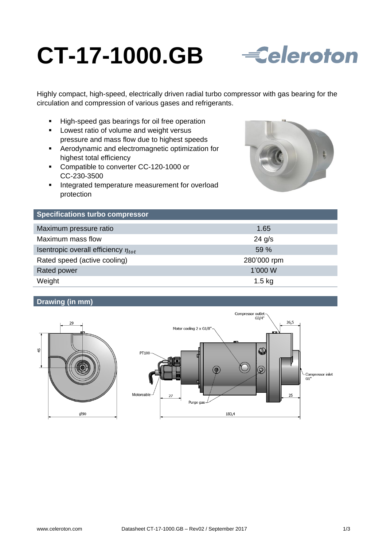# **CT-17-1000.GB**



Highly compact, high-speed, electrically driven radial turbo compressor with gas bearing for the circulation and compression of various gases and refrigerants.

- High-speed gas bearings for oil free operation
- **Lowest ratio of volume and weight versus** pressure and mass flow due to highest speeds
- Aerodynamic and electromagnetic optimization for highest total efficiency
- Compatible to converter CC-120-1000 or CC-230-3500
- **Integrated temperature measurement for overload** protection



| <b>Specifications turbo compressor</b>     |             |
|--------------------------------------------|-------------|
| Maximum pressure ratio                     | 1.65        |
| Maximum mass flow                          | $24$ g/s    |
| Isentropic overall efficiency $\eta_{tot}$ | 59 %        |
| Rated speed (active cooling)               | 280'000 rpm |
| Rated power                                | 1'000 W     |
| Weight                                     | $1.5$ kg    |

# **Drawing (in mm)**



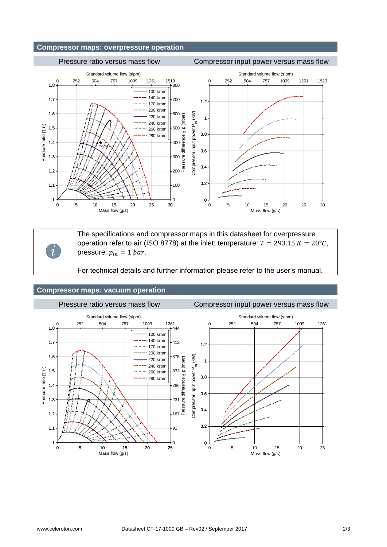# **Compressor maps: overpressure operation**

#### Pressure ratio versus mass flow Compressor input power versus mass flow Standard volume flow (slpm) Standard volume flow (slpm) 0 252 504 757 1009 1261 1513 0 252 504 757 1009 1261 1513 1.8 800 100 krpm  $-140$  krpm 1.7 700 1.2 170 krpm 200 krpm 1.6 Compressor input power P<sub>in</sub> (kW) Compressor input power P<sub>in</sub> (kW) 600 220 krpm Pressure difference p (mbar) 1 240 krpm Pressure ratio [1 (-) Pressure ratio  $\Pi$  (-) 1.5 ....<sub>260</sub> krpm 500 0.8 280 krpm 1.4 400 n<sub>tot,max</sub> 0.6 1.3 300 0.4 1.2 200 0.2 1.1 100 1  $\Omega$  $0 +$ 0 5 10 15 20 25 30 0 5 10 15 20 25 30 Mass flow (g/s) Mass flow (g/s)

The specifications and compressor maps in this datasheet for overpressure operation refer to air (ISO 8778) at the inlet: temperature:  $T = 293.15 K = 20^{\circ}C$ , pressure:  $p_{in} = 1$  bar.

For technical details and further information please refer to the user's manual.

### **Compressor maps: vacuum operation**

*i*